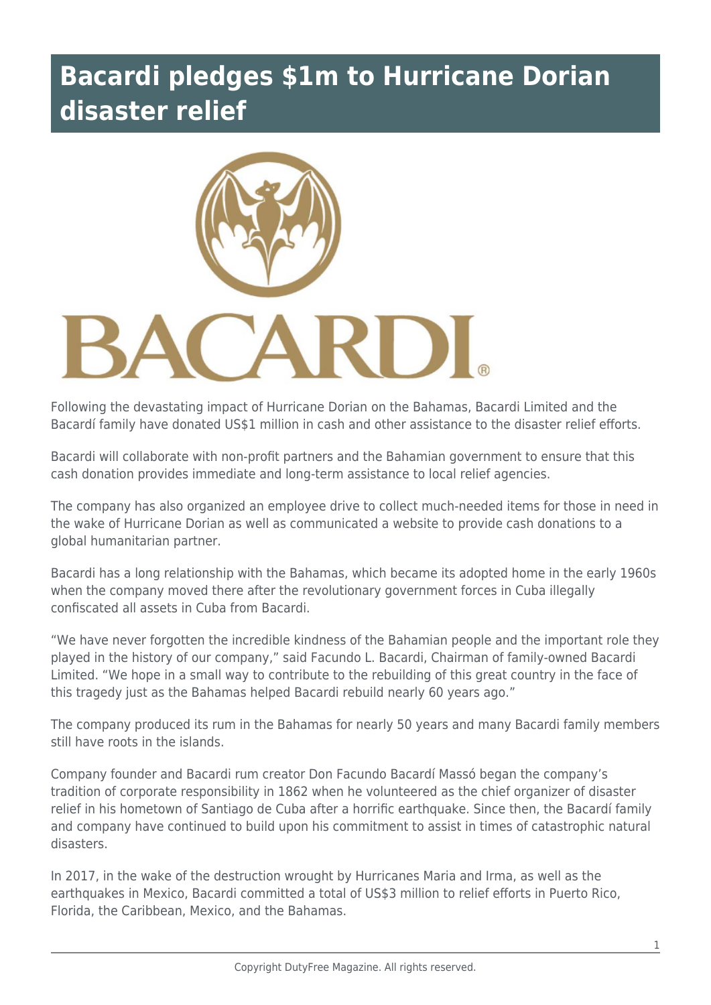## **Bacardi pledges \$1m to Hurricane Dorian disaster relief**



Following the devastating impact of Hurricane Dorian on the Bahamas, Bacardi Limited and the Bacardí family have donated US\$1 million in cash and other assistance to the disaster relief efforts.

Bacardi will collaborate with non-profit partners and the Bahamian government to ensure that this cash donation provides immediate and long-term assistance to local relief agencies.

The company has also organized an employee drive to collect much-needed items for those in need in the wake of Hurricane Dorian as well as communicated a website to provide cash donations to a global humanitarian partner.

Bacardi has a long relationship with the Bahamas, which became its adopted home in the early 1960s when the company moved there after the revolutionary government forces in Cuba illegally confiscated all assets in Cuba from Bacardi.

"We have never forgotten the incredible kindness of the Bahamian people and the important role they played in the history of our company," said Facundo L. Bacardi, Chairman of family-owned Bacardi Limited. "We hope in a small way to contribute to the rebuilding of this great country in the face of this tragedy just as the Bahamas helped Bacardi rebuild nearly 60 years ago."

The company produced its rum in the Bahamas for nearly 50 years and many Bacardi family members still have roots in the islands.

Company founder and Bacardi rum creator Don Facundo Bacardí Massó began the company's tradition of corporate responsibility in 1862 when he volunteered as the chief organizer of disaster relief in his hometown of Santiago de Cuba after a horrific earthquake. Since then, the Bacardí family and company have continued to build upon his commitment to assist in times of catastrophic natural disasters.

In 2017, in the wake of the destruction wrought by Hurricanes Maria and Irma, as well as the earthquakes in Mexico, Bacardi committed a total of US\$3 million to relief efforts in Puerto Rico, Florida, the Caribbean, Mexico, and the Bahamas.